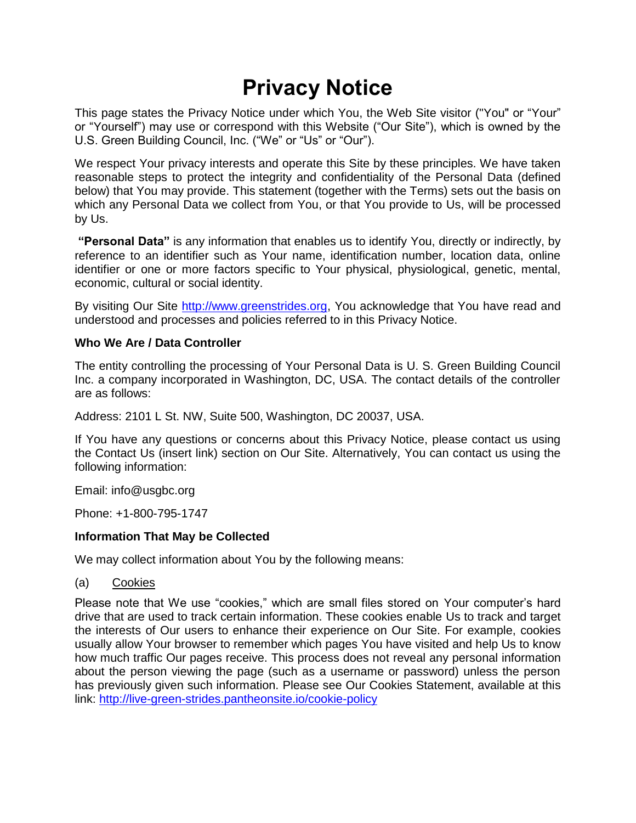# **Privacy Notice**

This page states the Privacy Notice under which You, the Web Site visitor ("You" or "Your" or "Yourself") may use or correspond with this Website ("Our Site"), which is owned by the U.S. Green Building Council, Inc. ("We" or "Us" or "Our").

We respect Your privacy interests and operate this Site by these principles. We have taken reasonable steps to protect the integrity and confidentiality of the Personal Data (defined below) that You may provide. This statement (together with the Terms) sets out the basis on which any Personal Data we collect from You, or that You provide to Us, will be processed by Us.

**"Personal Data"** is any information that enables us to identify You, directly or indirectly, by reference to an identifier such as Your name, identification number, location data, online identifier or one or more factors specific to Your physical, physiological, genetic, mental, economic, cultural or social identity.

By visiting Our Site [http://www.greenstrides.org,](http://www.greenstrides.org/) You acknowledge that You have read and understood and processes and policies referred to in this Privacy Notice.

# **Who We Are / Data Controller**

The entity controlling the processing of Your Personal Data is U. S. Green Building Council Inc. a company incorporated in Washington, DC, USA. The contact details of the controller are as follows:

Address: 2101 L St. NW, Suite 500, Washington, DC 20037, USA.

If You have any questions or concerns about this Privacy Notice, please contact us using the Contact Us (insert link) section on Our Site. Alternatively, You can contact us using the following information:

Email: [info@usgbc.org](mailto:info@usgbc.org)

Phone: +1-800-795-1747

# **Information That May be Collected**

We may collect information about You by the following means:

## (a) Cookies

Please note that We use "cookies," which are small files stored on Your computer's hard drive that are used to track certain information. These cookies enable Us to track and target the interests of Our users to enhance their experience on Our Site. For example, cookies usually allow Your browser to remember which pages You have visited and help Us to know how much traffic Our pages receive. This process does not reveal any personal information about the person viewing the page (such as a username or password) unless the person has previously given such information. Please see Our Cookies Statement, available at this link:<http://live-green-strides.pantheonsite.io/cookie-policy>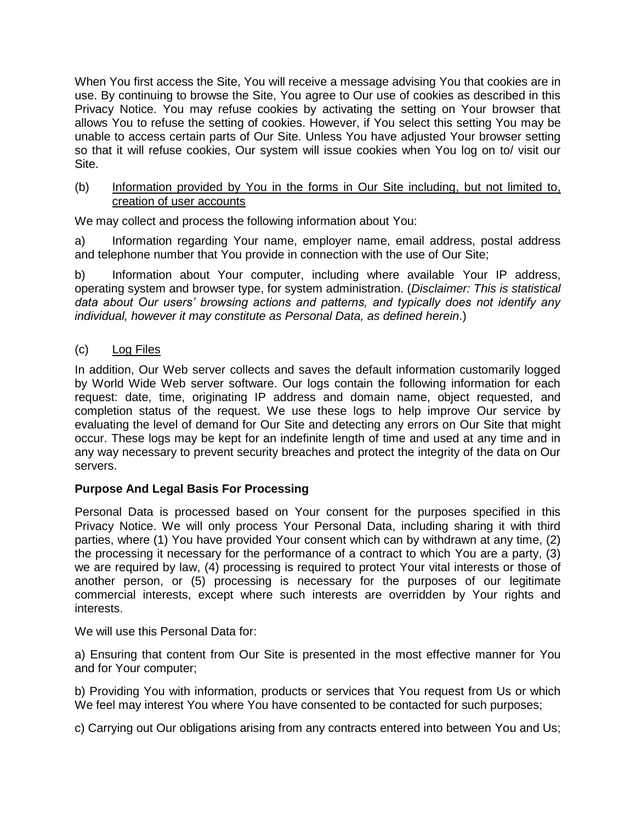When You first access the Site, You will receive a message advising You that cookies are in use. By continuing to browse the Site, You agree to Our use of cookies as described in this Privacy Notice. You may refuse cookies by activating the setting on Your browser that allows You to refuse the setting of cookies. However, if You select this setting You may be unable to access certain parts of Our Site. Unless You have adjusted Your browser setting so that it will refuse cookies, Our system will issue cookies when You log on to/ visit our Site.

## (b) Information provided by You in the forms in Our Site including, but not limited to, creation of user accounts

We may collect and process the following information about You:

a) Information regarding Your name, employer name, email address, postal address and telephone number that You provide in connection with the use of Our Site;

b) Information about Your computer, including where available Your IP address, operating system and browser type, for system administration. (*Disclaimer: This is statistical data about Our users' browsing actions and patterns, and typically does not identify any individual, however it may constitute as Personal Data, as defined herein*.)

(c) Log Files

In addition, Our Web server collects and saves the default information customarily logged by World Wide Web server software. Our logs contain the following information for each request: date, time, originating IP address and domain name, object requested, and completion status of the request. We use these logs to help improve Our service by evaluating the level of demand for Our Site and detecting any errors on Our Site that might occur. These logs may be kept for an indefinite length of time and used at any time and in any way necessary to prevent security breaches and protect the integrity of the data on Our servers.

# **Purpose And Legal Basis For Processing**

Personal Data is processed based on Your consent for the purposes specified in this Privacy Notice. We will only process Your Personal Data, including sharing it with third parties, where (1) You have provided Your consent which can by withdrawn at any time, (2) the processing it necessary for the performance of a contract to which You are a party, (3) we are required by law, (4) processing is required to protect Your vital interests or those of another person, or (5) processing is necessary for the purposes of our legitimate commercial interests, except where such interests are overridden by Your rights and interests.

We will use this Personal Data for:

a) Ensuring that content from Our Site is presented in the most effective manner for You and for Your computer;

b) Providing You with information, products or services that You request from Us or which We feel may interest You where You have consented to be contacted for such purposes;

c) Carrying out Our obligations arising from any contracts entered into between You and Us;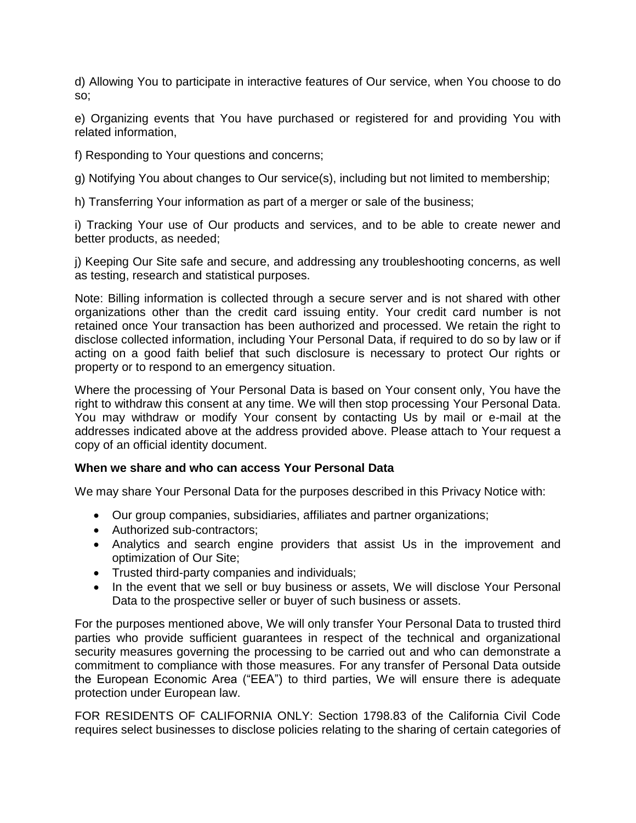d) Allowing You to participate in interactive features of Our service, when You choose to do so;

e) Organizing events that You have purchased or registered for and providing You with related information,

f) Responding to Your questions and concerns;

g) Notifying You about changes to Our service(s), including but not limited to membership;

h) Transferring Your information as part of a merger or sale of the business;

i) Tracking Your use of Our products and services, and to be able to create newer and better products, as needed;

j) Keeping Our Site safe and secure, and addressing any troubleshooting concerns, as well as testing, research and statistical purposes.

Note: Billing information is collected through a secure server and is not shared with other organizations other than the credit card issuing entity. Your credit card number is not retained once Your transaction has been authorized and processed. We retain the right to disclose collected information, including Your Personal Data, if required to do so by law or if acting on a good faith belief that such disclosure is necessary to protect Our rights or property or to respond to an emergency situation.

Where the processing of Your Personal Data is based on Your consent only, You have the right to withdraw this consent at any time. We will then stop processing Your Personal Data. You may withdraw or modify Your consent by contacting Us by mail or e-mail at the addresses indicated above at the address provided above. Please attach to Your request a copy of an official identity document.

#### **When we share and who can access Your Personal Data**

We may share Your Personal Data for the purposes described in this Privacy Notice with:

- Our group companies, subsidiaries, affiliates and partner organizations;
- Authorized sub-contractors:
- Analytics and search engine providers that assist Us in the improvement and optimization of Our Site;
- Trusted third-party companies and individuals;
- In the event that we sell or buy business or assets, We will disclose Your Personal Data to the prospective seller or buyer of such business or assets.

For the purposes mentioned above, We will only transfer Your Personal Data to trusted third parties who provide sufficient guarantees in respect of the technical and organizational security measures governing the processing to be carried out and who can demonstrate a commitment to compliance with those measures. For any transfer of Personal Data outside the European Economic Area ("EEA") to third parties, We will ensure there is adequate protection under European law.

FOR RESIDENTS OF CALIFORNIA ONLY: Section 1798.83 of the California Civil Code requires select businesses to disclose policies relating to the sharing of certain categories of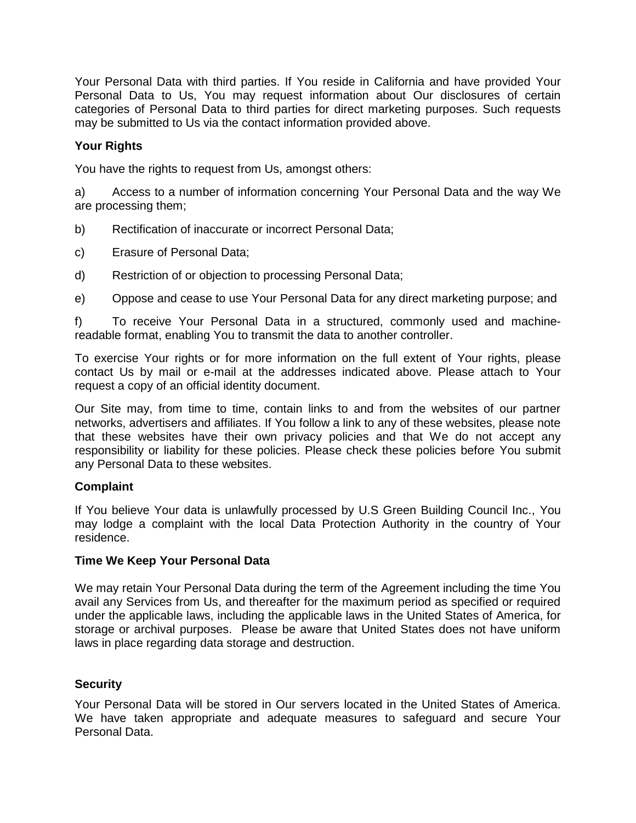Your Personal Data with third parties. If You reside in California and have provided Your Personal Data to Us, You may request information about Our disclosures of certain categories of Personal Data to third parties for direct marketing purposes. Such requests may be submitted to Us via the contact information provided above.

# **Your Rights**

You have the rights to request from Us, amongst others:

a) Access to a number of information concerning Your Personal Data and the way We are processing them;

- b) Rectification of inaccurate or incorrect Personal Data;
- c) Erasure of Personal Data;
- d) Restriction of or objection to processing Personal Data;
- e) Oppose and cease to use Your Personal Data for any direct marketing purpose; and

f) To receive Your Personal Data in a structured, commonly used and machinereadable format, enabling You to transmit the data to another controller.

To exercise Your rights or for more information on the full extent of Your rights, please contact Us by mail or e-mail at the addresses indicated above. Please attach to Your request a copy of an official identity document.

Our Site may, from time to time, contain links to and from the websites of our partner networks, advertisers and affiliates. If You follow a link to any of these websites, please note that these websites have their own privacy policies and that We do not accept any responsibility or liability for these policies. Please check these policies before You submit any Personal Data to these websites.

## **Complaint**

If You believe Your data is unlawfully processed by U.S Green Building Council Inc., You may lodge a complaint with the local Data Protection Authority in the country of Your residence.

## **Time We Keep Your Personal Data**

We may retain Your Personal Data during the term of the Agreement including the time You avail any Services from Us, and thereafter for the maximum period as specified or required under the applicable laws, including the applicable laws in the United States of America, for storage or archival purposes. Please be aware that United States does not have uniform laws in place regarding data storage and destruction.

## **Security**

Your Personal Data will be stored in Our servers located in the United States of America. We have taken appropriate and adequate measures to safeguard and secure Your Personal Data.